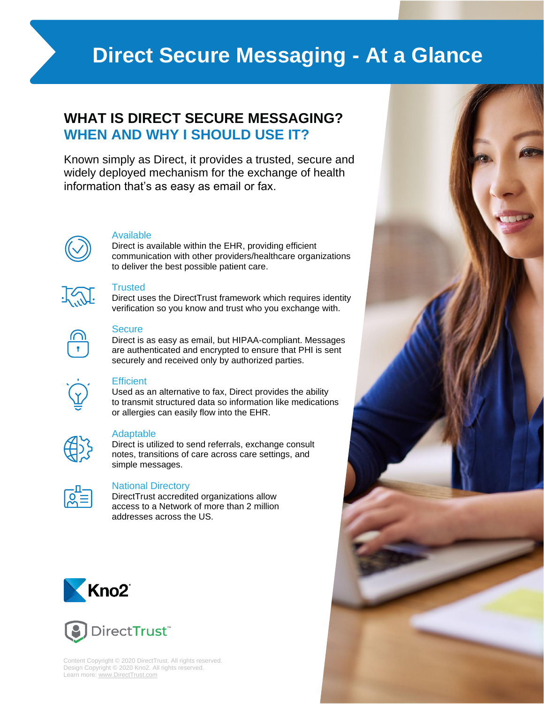# **Direct Secure Messaging - At a Glance**

# **WHAT IS DIRECT SECURE MESSAGING? WHEN AND WHY I SHOULD USE IT?**

Known simply as Direct, it provides a trusted, secure and widely deployed mechanism for the exchange of health information that's as easy as email or fax.



### Available

Direct is available within the EHR, providing efficient communication with other providers/healthcare organizations to deliver the best possible patient care.



### **Trusted**

Direct uses the DirectTrust framework which requires identity verification so you know and trust who you exchange with.



# **Secure**

Direct is as easy as email, but HIPAA-compliant. Messages are authenticated and encrypted to ensure that PHI is sent securely and received only by authorized parties.



# **Efficient**

Used as an alternative to fax, Direct provides the ability to transmit structured data so information like medications or allergies can easily flow into the EHR.

|--|

# Adaptable

Direct is utilized to send referrals, exchange consult notes, transitions of care across care settings, and simple messages.



# National Directory

DirectTrust accredited organizations allow access to a Network of more than 2 million addresses across the US.





Content Copyright © 2020 DirectTrust. All rights reserved. Design Copyright © 2020 Kno2. All rights reserved. Learn more[: www.DirectTrust.com](http://www.directtrust.com/)